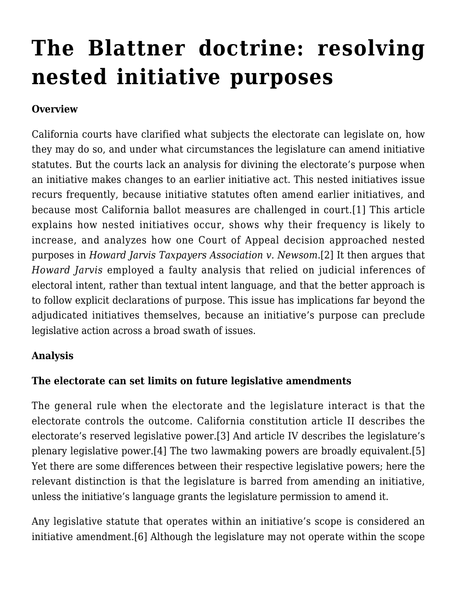# **[The Blattner doctrine: resolving](https://scocablog.com/the-blattner-doctrine-resolving-nested-initiative-purposes/) [nested initiative purposes](https://scocablog.com/the-blattner-doctrine-resolving-nested-initiative-purposes/)**

## **Overview**

California courts have clarified what subjects the electorate can legislate on, how they may do so, and under what circumstances the legislature can amend initiative statutes. But the courts lack an analysis for divining the electorate's purpose when an initiative makes changes to an earlier initiative act. This nested initiatives issue recurs frequently, because initiative statutes often amend earlier initiatives, and because most California ballot measures are challenged in court.[\[1\]](#page--1-0) This article explains how nested initiatives occur, shows why their frequency is likely to increase, and analyzes how one Court of Appeal decision approached nested purposes in *Howard Jarvis Taxpayers Association v. Newsom*.[\[2\]](#page--1-0) It then argues that *Howard Jarvis* employed a faulty analysis that relied on judicial inferences of electoral intent, rather than textual intent language, and that the better approach is to follow explicit declarations of purpose. This issue has implications far beyond the adjudicated initiatives themselves, because an initiative's purpose can preclude legislative action across a broad swath of issues.

#### **Analysis**

#### **The electorate can set limits on future legislative amendments**

The general rule when the electorate and the legislature interact is that the electorate controls the outcome. California constitution article II describes the electorate's reserved legislative power[.\[3\]](#page--1-0) And article IV describes the legislature's plenary legislative power.[\[4\]](#page--1-0) The two lawmaking powers are broadly equivalent.[\[5\]](#page--1-0) Yet there are some differences between their respective legislative powers; here the relevant distinction is that the legislature is barred from amending an initiative, unless the initiative's language grants the legislature permission to amend it.

Any legislative statute that operates within an initiative's scope is considered an initiative amendment.[\[6\]](#page--1-0) Although the legislature may not operate within the scope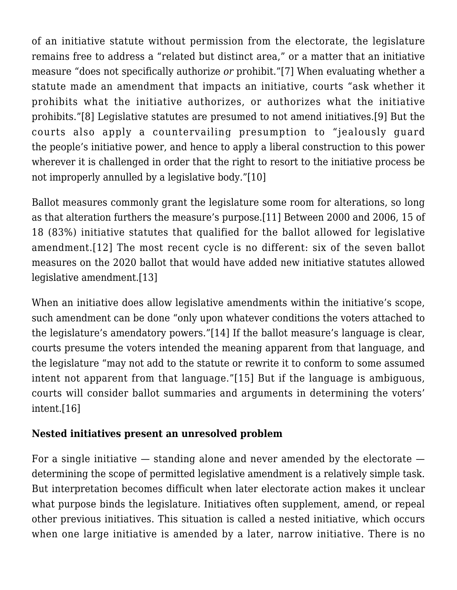of an initiative statute without permission from the electorate, the legislature remains free to address a "related but distinct area," or a matter that an initiative measure "does not specifically authorize *or* prohibit."[\[7\]](#page--1-0) When evaluating whether a statute made an amendment that impacts an initiative, courts "ask whether it prohibits what the initiative authorizes, or authorizes what the initiative prohibits."[\[8\]](#page--1-0) Legislative statutes are presumed to not amend initiatives[.\[9\]](#page--1-0) But the courts also apply a countervailing presumption to "jealously guard the people's initiative power, and hence to apply a liberal construction to this power wherever it is challenged in order that the right to resort to the initiative process be not improperly annulled by a legislative body."[\[10\]](#page--1-0)

Ballot measures commonly grant the legislature some room for alterations, so long as that alteration furthers the measure's purpose.[\[11\]](#page--1-0) Between 2000 and 2006, 15 of 18 (83%) initiative statutes that qualified for the ballot allowed for legislative amendment.[\[12\]](#page--1-0) The most recent cycle is no different: six of the seven ballot measures on the 2020 ballot that would have added new initiative statutes allowed legislative amendment[.\[13\]](#page--1-0)

When an initiative does allow legislative amendments within the initiative's scope, such amendment can be done "only upon whatever conditions the voters attached to the legislature's amendatory powers.["\[14\]](#page--1-0) If the ballot measure's language is clear, courts presume the voters intended the meaning apparent from that language, and the legislature "may not add to the statute or rewrite it to conform to some assumed intent not apparent from that language."[\[15\]](#page--1-0) But if the language is ambiguous, courts will consider ballot summaries and arguments in determining the voters' intent.[\[16\]](#page--1-0)

#### **Nested initiatives present an unresolved problem**

For a single initiative  $-$  standing alone and never amended by the electorate  $$ determining the scope of permitted legislative amendment is a relatively simple task. But interpretation becomes difficult when later electorate action makes it unclear what purpose binds the legislature. Initiatives often supplement, amend, or repeal other previous initiatives. This situation is called a nested initiative, which occurs when one large initiative is amended by a later, narrow initiative. There is no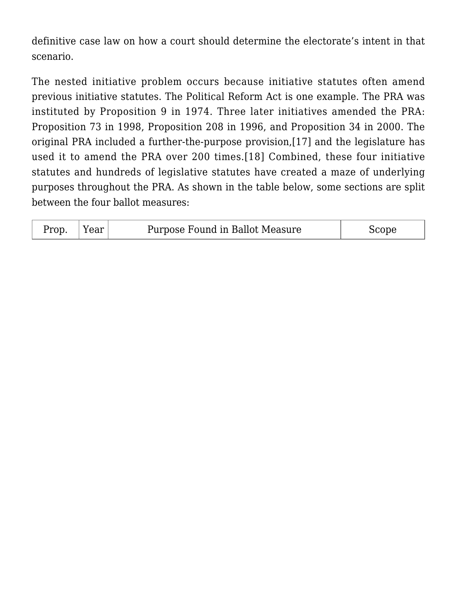definitive case law on how a court should determine the electorate's intent in that scenario.

The nested initiative problem occurs because initiative statutes often amend previous initiative statutes. The Political Reform Act is one example. The PRA was instituted by Proposition 9 in 1974. Three later initiatives amended the PRA: Proposition 73 in 1998, Proposition 208 in 1996, and Proposition 34 in 2000. The original PRA included a further-the-purpose provision,[\[17\]](#page--1-0) and the legislature has used it to amend the PRA over 200 times.[\[18\]](#page--1-0) Combined, these four initiative statutes and hundreds of legislative statutes have created a maze of underlying purposes throughout the PRA. As shown in the table below, some sections are split between the four ballot measures:

| Prop |  | Purpose Found in Ballot Measure |  |
|------|--|---------------------------------|--|
|------|--|---------------------------------|--|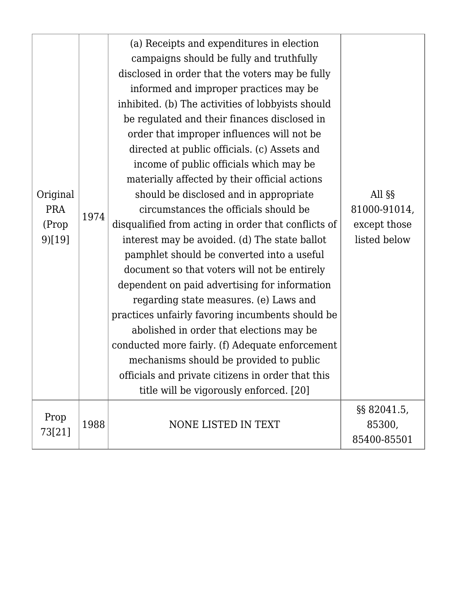| Original<br><b>PRA</b><br>(Prop<br>9)[19] | 1974 | (a) Receipts and expenditures in election<br>campaigns should be fully and truthfully<br>disclosed in order that the voters may be fully<br>informed and improper practices may be<br>inhibited. (b) The activities of lobbyists should<br>be regulated and their finances disclosed in<br>order that improper influences will not be<br>directed at public officials. (c) Assets and<br>income of public officials which may be<br>materially affected by their official actions<br>should be disclosed and in appropriate<br>circumstances the officials should be<br>disqualified from acting in order that conflicts of<br>interest may be avoided. (d) The state ballot<br>pamphlet should be converted into a useful<br>document so that voters will not be entirely<br>dependent on paid advertising for information<br>regarding state measures. (e) Laws and<br>practices unfairly favoring incumbents should be<br>abolished in order that elections may be<br>conducted more fairly. (f) Adequate enforcement<br>mechanisms should be provided to public<br>officials and private citizens in order that this<br>title will be vigorously enforced. [20] | All §§<br>81000-91014,<br>except those<br>listed below |
|-------------------------------------------|------|---------------------------------------------------------------------------------------------------------------------------------------------------------------------------------------------------------------------------------------------------------------------------------------------------------------------------------------------------------------------------------------------------------------------------------------------------------------------------------------------------------------------------------------------------------------------------------------------------------------------------------------------------------------------------------------------------------------------------------------------------------------------------------------------------------------------------------------------------------------------------------------------------------------------------------------------------------------------------------------------------------------------------------------------------------------------------------------------------------------------------------------------------------------------|--------------------------------------------------------|
| Prop<br>73[21]                            | 1988 | NONE LISTED IN TEXT                                                                                                                                                                                                                                                                                                                                                                                                                                                                                                                                                                                                                                                                                                                                                                                                                                                                                                                                                                                                                                                                                                                                                 | $\S$ § 82041.5,<br>85300,                              |
|                                           |      |                                                                                                                                                                                                                                                                                                                                                                                                                                                                                                                                                                                                                                                                                                                                                                                                                                                                                                                                                                                                                                                                                                                                                                     | 85400-85501                                            |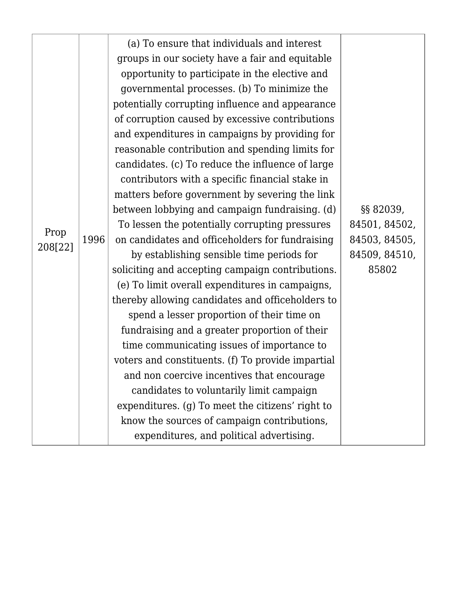|         |      | (a) To ensure that individuals and interest       |               |
|---------|------|---------------------------------------------------|---------------|
|         | 1996 | groups in our society have a fair and equitable   |               |
|         |      | opportunity to participate in the elective and    |               |
|         |      | governmental processes. (b) To minimize the       |               |
|         |      | potentially corrupting influence and appearance   |               |
|         |      | of corruption caused by excessive contributions   |               |
|         |      | and expenditures in campaigns by providing for    |               |
|         |      | reasonable contribution and spending limits for   |               |
|         |      | candidates. (c) To reduce the influence of large  |               |
|         |      | contributors with a specific financial stake in   |               |
|         |      | matters before government by severing the link    |               |
|         |      | between lobbying and campaign fundraising. (d)    | §§ 82039,     |
| Prop    |      | To lessen the potentially corrupting pressures    | 84501, 84502, |
| 208[22] |      | on candidates and officeholders for fundraising   | 84503, 84505, |
|         |      | by establishing sensible time periods for         | 84509, 84510, |
|         |      | soliciting and accepting campaign contributions.  | 85802         |
|         |      | (e) To limit overall expenditures in campaigns,   |               |
|         |      | thereby allowing candidates and officeholders to  |               |
|         |      | spend a lesser proportion of their time on        |               |
|         |      | fundraising and a greater proportion of their     |               |
|         |      | time communicating issues of importance to        |               |
|         |      | voters and constituents. (f) To provide impartial |               |
|         |      | and non coercive incentives that encourage        |               |
|         |      | candidates to voluntarily limit campaign          |               |
|         |      | expenditures. (g) To meet the citizens' right to  |               |
|         |      | know the sources of campaign contributions,       |               |
|         |      | expenditures, and political advertising.          |               |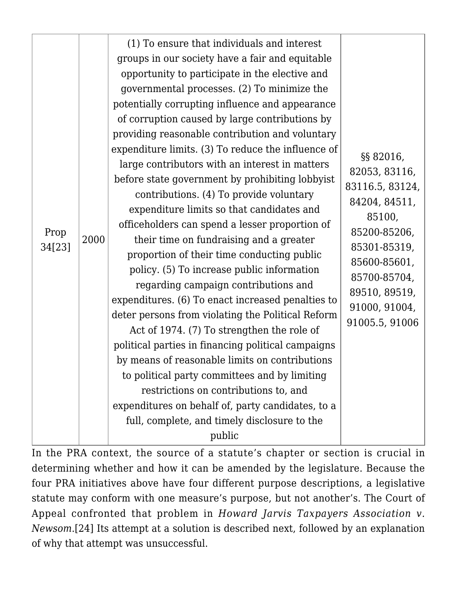| Prop<br>34[23] | 2000 | (1) To ensure that individuals and interest<br>groups in our society have a fair and equitable<br>opportunity to participate in the elective and<br>governmental processes. (2) To minimize the<br>potentially corrupting influence and appearance<br>of corruption caused by large contributions by<br>providing reasonable contribution and voluntary<br>expenditure limits. (3) To reduce the influence of<br>large contributors with an interest in matters<br>before state government by prohibiting lobbyist<br>contributions. (4) To provide voluntary<br>expenditure limits so that candidates and<br>officeholders can spend a lesser proportion of<br>their time on fundraising and a greater<br>proportion of their time conducting public<br>policy. (5) To increase public information<br>regarding campaign contributions and<br>expenditures. (6) To enact increased penalties to<br>deter persons from violating the Political Reform<br>Act of 1974. (7) To strengthen the role of<br>political parties in financing political campaigns<br>by means of reasonable limits on contributions<br>to political party committees and by limiting<br>restrictions on contributions to, and<br>expenditures on behalf of, party candidates, to a<br>full, complete, and timely disclosure to the<br>public | §§ 82016,<br>82053, 83116,<br>83116.5, 83124,<br>84204, 84511,<br>85100,<br>85200-85206,<br>85301-85319,<br>85600-85601,<br>85700-85704,<br>89510, 89519,<br>91000, 91004,<br>91005.5, 91006 |
|----------------|------|----------------------------------------------------------------------------------------------------------------------------------------------------------------------------------------------------------------------------------------------------------------------------------------------------------------------------------------------------------------------------------------------------------------------------------------------------------------------------------------------------------------------------------------------------------------------------------------------------------------------------------------------------------------------------------------------------------------------------------------------------------------------------------------------------------------------------------------------------------------------------------------------------------------------------------------------------------------------------------------------------------------------------------------------------------------------------------------------------------------------------------------------------------------------------------------------------------------------------------------------------------------------------------------------------------------------|----------------------------------------------------------------------------------------------------------------------------------------------------------------------------------------------|

In the PRA context, the source of a statute's chapter or section is crucial in determining whether and how it can be amended by the legislature. Because the four PRA initiatives above have four different purpose descriptions, a legislative statute may conform with one measure's purpose, but not another's. The Court of Appeal confronted that problem in *Howard Jarvis Taxpayers Association v. Newsom*[.\[24\]](#page--1-0) Its attempt at a solution is described next, followed by an explanation of why that attempt was unsuccessful.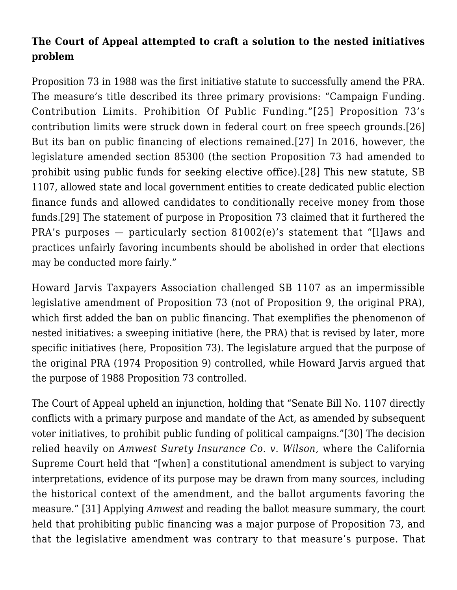## **The Court of Appeal attempted to craft a solution to the nested initiatives problem**

Proposition 73 in 1988 was the first initiative statute to successfully amend the PRA. The measure's title described its three primary provisions: "Campaign Funding. Contribution Limits. Prohibition Of Public Funding."[\[25\]](#page--1-0) Proposition 73's contribution limits were struck down in federal court on free speech grounds.[\[26\]](#page--1-0) But its ban on public financing of elections remained.[\[27\]](#page--1-0) In 2016, however, the legislature amended section 85300 (the section Proposition 73 had amended to prohibit using public funds for seeking elective office).[\[28\]](#page--1-0) This new statute, SB 1107, allowed state and local government entities to create dedicated public election finance funds and allowed candidates to conditionally receive money from those funds[.\[29\]](#page--1-0) The statement of purpose in Proposition 73 claimed that it furthered the PRA's purposes — particularly section 81002(e)'s statement that "[l]aws and practices unfairly favoring incumbents should be abolished in order that elections may be conducted more fairly."

Howard Jarvis Taxpayers Association challenged SB 1107 as an impermissible legislative amendment of Proposition 73 (not of Proposition 9, the original PRA), which first added the ban on public financing. That exemplifies the phenomenon of nested initiatives: a sweeping initiative (here, the PRA) that is revised by later, more specific initiatives (here, Proposition 73). The legislature argued that the purpose of the original PRA (1974 Proposition 9) controlled, while Howard Jarvis argued that the purpose of 1988 Proposition 73 controlled.

The Court of Appeal upheld an injunction, holding that "Senate Bill No. 1107 directly conflicts with a primary purpose and mandate of the Act, as amended by subsequent voter initiatives, to prohibit public funding of political campaigns.["\[30\]](#page--1-0) The decision relied heavily on *Amwest Surety Insurance Co. v. Wilson,* where the California Supreme Court held that "[when] a constitutional amendment is subject to varying interpretations, evidence of its purpose may be drawn from many sources, including the historical context of the amendment, and the ballot arguments favoring the measure." [\[31\]](#page--1-0) Applying *Amwest* and reading the ballot measure summary, the court held that prohibiting public financing was a major purpose of Proposition 73, and that the legislative amendment was contrary to that measure's purpose. That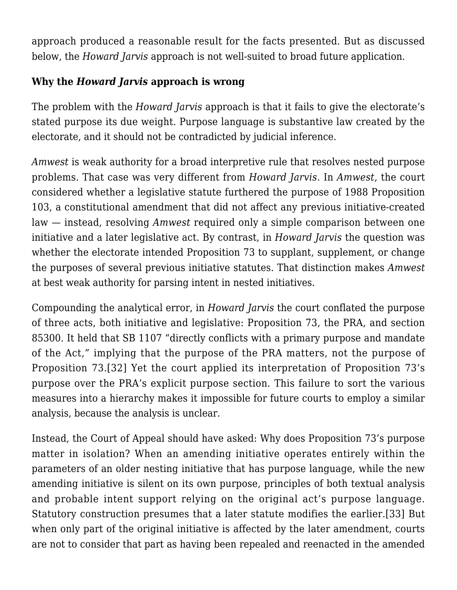approach produced a reasonable result for the facts presented. But as discussed below, the *Howard Jarvis* approach is not well-suited to broad future application.

#### **Why the** *Howard Jarvis* **approach is wrong**

The problem with the *Howard Jarvis* approach is that it fails to give the electorate's stated purpose its due weight. Purpose language is substantive law created by the electorate, and it should not be contradicted by judicial inference.

*Amwest* is weak authority for a broad interpretive rule that resolves nested purpose problems. That case was very different from *Howard Jarvis*. In *Amwest*, the court considered whether a legislative statute furthered the purpose of 1988 Proposition 103, a constitutional amendment that did not affect any previous initiative-created law — instead, resolving *Amwest* required only a simple comparison between one initiative and a later legislative act. By contrast, in *Howard Jarvis* the question was whether the electorate intended Proposition 73 to supplant, supplement, or change the purposes of several previous initiative statutes. That distinction makes *Amwest* at best weak authority for parsing intent in nested initiatives.

Compounding the analytical error, in *Howard Jarvis* the court conflated the purpose of three acts, both initiative and legislative: Proposition 73, the PRA, and section 85300. It held that SB 1107 "directly conflicts with a primary purpose and mandate of the Act," implying that the purpose of the PRA matters, not the purpose of Proposition 73.[\[32\]](#page--1-0) Yet the court applied its interpretation of Proposition 73's purpose over the PRA's explicit purpose section. This failure to sort the various measures into a hierarchy makes it impossible for future courts to employ a similar analysis, because the analysis is unclear.

Instead, the Court of Appeal should have asked: Why does Proposition 73's purpose matter in isolation? When an amending initiative operates entirely within the parameters of an older nesting initiative that has purpose language, while the new amending initiative is silent on its own purpose, principles of both textual analysis and probable intent support relying on the original act's purpose language. Statutory construction presumes that a later statute modifies the earlier.[\[33\]](#page--1-0) But when only part of the original initiative is affected by the later amendment, courts are not to consider that part as having been repealed and reenacted in the amended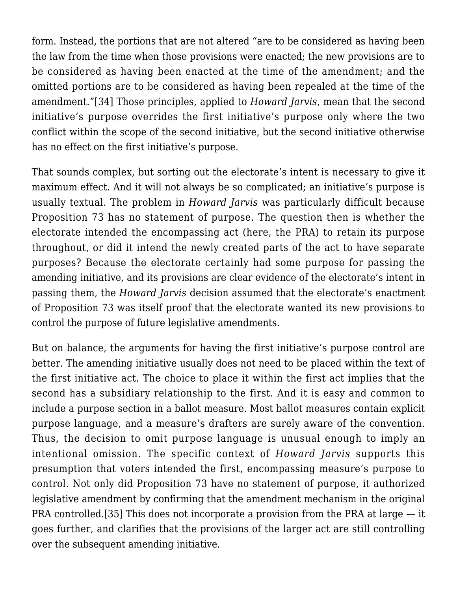form. Instead, the portions that are not altered "are to be considered as having been the law from the time when those provisions were enacted; the new provisions are to be considered as having been enacted at the time of the amendment; and the omitted portions are to be considered as having been repealed at the time of the amendment."[\[34\]](#page--1-0) Those principles, applied to *Howard Jarvis*, mean that the second initiative's purpose overrides the first initiative's purpose only where the two conflict within the scope of the second initiative, but the second initiative otherwise has no effect on the first initiative's purpose.

That sounds complex, but sorting out the electorate's intent is necessary to give it maximum effect. And it will not always be so complicated; an initiative's purpose is usually textual. The problem in *Howard Jarvis* was particularly difficult because Proposition 73 has no statement of purpose. The question then is whether the electorate intended the encompassing act (here, the PRA) to retain its purpose throughout, or did it intend the newly created parts of the act to have separate purposes? Because the electorate certainly had some purpose for passing the amending initiative, and its provisions are clear evidence of the electorate's intent in passing them, the *Howard Jarvis* decision assumed that the electorate's enactment of Proposition 73 was itself proof that the electorate wanted its new provisions to control the purpose of future legislative amendments.

But on balance, the arguments for having the first initiative's purpose control are better. The amending initiative usually does not need to be placed within the text of the first initiative act. The choice to place it within the first act implies that the second has a subsidiary relationship to the first. And it is easy and common to include a purpose section in a ballot measure. Most ballot measures contain explicit purpose language, and a measure's drafters are surely aware of the convention. Thus, the decision to omit purpose language is unusual enough to imply an intentional omission. The specific context of *Howard Jarvis* supports this presumption that voters intended the first, encompassing measure's purpose to control. Not only did Proposition 73 have no statement of purpose, it authorized legislative amendment by confirming that the amendment mechanism in the original PRA controlled.[\[35\]](#page--1-0) This does not incorporate a provision from the PRA at large — it goes further, and clarifies that the provisions of the larger act are still controlling over the subsequent amending initiative.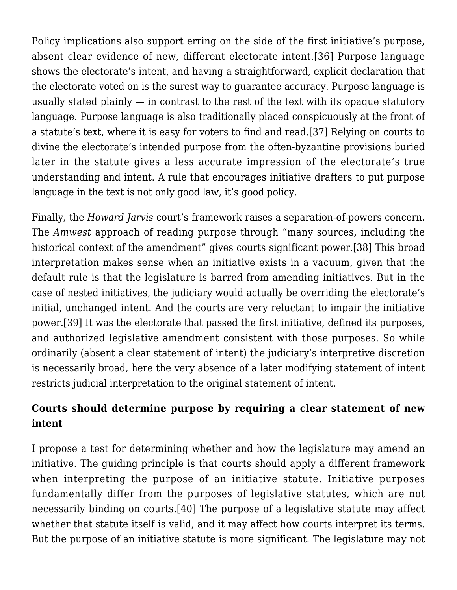Policy implications also support erring on the side of the first initiative's purpose, absent clear evidence of new, different electorate intent.[\[36\]](#page--1-0) Purpose language shows the electorate's intent, and having a straightforward, explicit declaration that the electorate voted on is the surest way to guarantee accuracy. Purpose language is usually stated plainly — in contrast to the rest of the text with its opaque statutory language. Purpose language is also traditionally placed conspicuously at the front of a statute's text, where it is easy for voters to find and read[.\[37\]](#page--1-0) Relying on courts to divine the electorate's intended purpose from the often-byzantine provisions buried later in the statute gives a less accurate impression of the electorate's true understanding and intent. A rule that encourages initiative drafters to put purpose language in the text is not only good law, it's good policy.

Finally, the *Howard Jarvis* court's framework raises a separation-of-powers concern. The *Amwest* approach of reading purpose through "many sources, including the historical context of the amendment" gives courts significant power[.\[38\]](#page--1-0) This broad interpretation makes sense when an initiative exists in a vacuum, given that the default rule is that the legislature is barred from amending initiatives. But in the case of nested initiatives, the judiciary would actually be overriding the electorate's initial, unchanged intent. And the courts are very reluctant to impair the initiative power[.\[39\]](#page--1-0) It was the electorate that passed the first initiative, defined its purposes, and authorized legislative amendment consistent with those purposes. So while ordinarily (absent a clear statement of intent) the judiciary's interpretive discretion is necessarily broad, here the very absence of a later modifying statement of intent restricts judicial interpretation to the original statement of intent.

## **Courts should determine purpose by requiring a clear statement of new intent**

I propose a test for determining whether and how the legislature may amend an initiative. The guiding principle is that courts should apply a different framework when interpreting the purpose of an initiative statute. Initiative purposes fundamentally differ from the purposes of legislative statutes, which are not necessarily binding on courts.[\[40\]](#page--1-0) The purpose of a legislative statute may affect whether that statute itself is valid, and it may affect how courts interpret its terms. But the purpose of an initiative statute is more significant. The legislature may not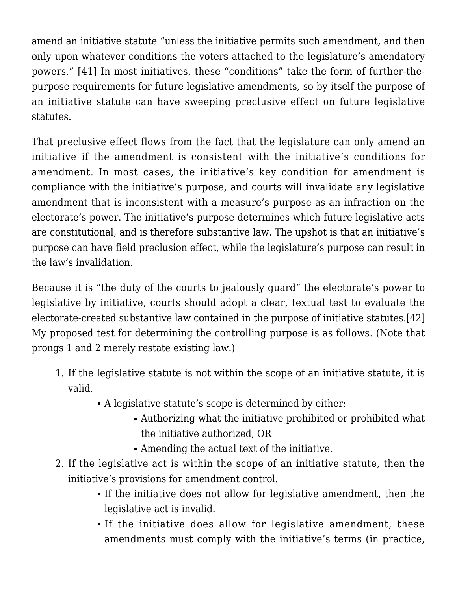amend an initiative statute "unless the initiative permits such amendment, and then only upon whatever conditions the voters attached to the legislature's amendatory powers." [\[41\]](#page--1-0) In most initiatives, these "conditions" take the form of further-thepurpose requirements for future legislative amendments, so by itself the purpose of an initiative statute can have sweeping preclusive effect on future legislative statutes.

That preclusive effect flows from the fact that the legislature can only amend an initiative if the amendment is consistent with the initiative's conditions for amendment. In most cases, the initiative's key condition for amendment is compliance with the initiative's purpose, and courts will invalidate any legislative amendment that is inconsistent with a measure's purpose as an infraction on the electorate's power. The initiative's purpose determines which future legislative acts are constitutional, and is therefore substantive law. The upshot is that an initiative's purpose can have field preclusion effect, while the legislature's purpose can result in the law's invalidation.

Because it is "the duty of the courts to jealously guard" the electorate's power to legislative by initiative, courts should adopt a clear, textual test to evaluate the electorate-created substantive law contained in the purpose of initiative statutes.[\[42\]](#page--1-0) My proposed test for determining the controlling purpose is as follows. (Note that prongs 1 and 2 merely restate existing law.)

- 1. If the legislative statute is not within the scope of an initiative statute, it is valid.
	- A legislative statute's scope is determined by either:
		- Authorizing what the initiative prohibited or prohibited what the initiative authorized, OR
		- Amending the actual text of the initiative.
- 2. If the legislative act is within the scope of an initiative statute, then the initiative's provisions for amendment control.
	- If the initiative does not allow for legislative amendment, then the legislative act is invalid.
	- If the initiative does allow for legislative amendment, these amendments must comply with the initiative's terms (in practice,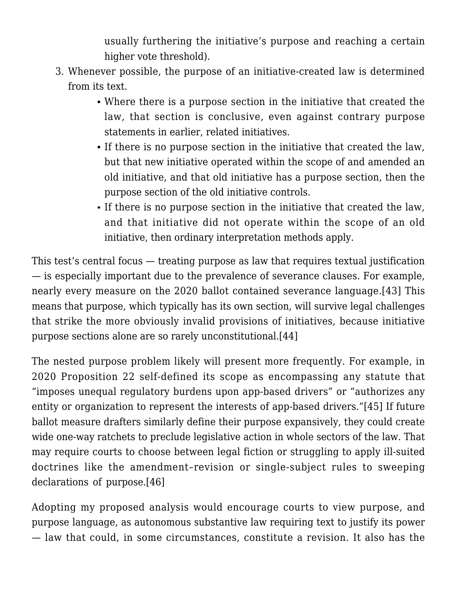usually furthering the initiative's purpose and reaching a certain higher vote threshold).

- 3. Whenever possible, the purpose of an initiative-created law is determined from its text.
	- Where there is a purpose section in the initiative that created the law, that section is conclusive, even against contrary purpose statements in earlier, related initiatives.
	- If there is no purpose section in the initiative that created the law, but that new initiative operated within the scope of and amended an old initiative, and that old initiative has a purpose section, then the purpose section of the old initiative controls.
	- If there is no purpose section in the initiative that created the law, and that initiative did not operate within the scope of an old initiative, then ordinary interpretation methods apply.

This test's central focus — treating purpose as law that requires textual justification — is especially important due to the prevalence of severance clauses. For example, nearly every measure on the 2020 ballot contained severance language.[\[43\]](#page--1-0) This means that purpose, which typically has its own section, will survive legal challenges that strike the more obviously invalid provisions of initiatives, because initiative purpose sections alone are so rarely unconstitutional[.\[44\]](#page--1-0)

The nested purpose problem likely will present more frequently. For example, in 2020 Proposition 22 self-defined its scope as encompassing any statute that "imposes unequal regulatory burdens upon app-based drivers" or "authorizes any entity or organization to represent the interests of app-based drivers."[\[45\]](#page--1-0) If future ballot measure drafters similarly define their purpose expansively, they could create wide one-way ratchets to preclude legislative action in whole sectors of the law. That may require courts to choose between legal fiction or struggling to apply ill-suited doctrines like the amendment–revision or single-subject rules to sweeping declarations of purpose.[\[46\]](#page--1-0)

Adopting my proposed analysis would encourage courts to view purpose, and purpose language, as autonomous substantive law requiring text to justify its power — law that could, in some circumstances, constitute a revision. It also has the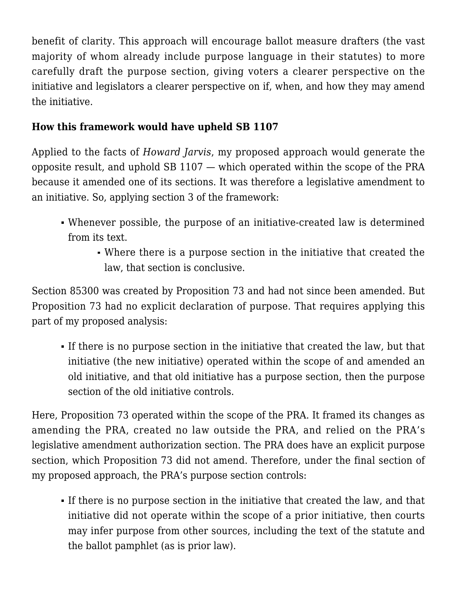benefit of clarity. This approach will encourage ballot measure drafters (the vast majority of whom already include purpose language in their statutes) to more carefully draft the purpose section, giving voters a clearer perspective on the initiative and legislators a clearer perspective on if, when, and how they may amend the initiative.

## **How this framework would have upheld SB 1107**

Applied to the facts of *Howard Jarvis*, my proposed approach would generate the opposite result, and uphold SB 1107 — which operated within the scope of the PRA because it amended one of its sections. It was therefore a legislative amendment to an initiative. So, applying section 3 of the framework:

- Whenever possible, the purpose of an initiative-created law is determined from its text.
	- Where there is a purpose section in the initiative that created the law, that section is conclusive.

Section 85300 was created by Proposition 73 and had not since been amended. But Proposition 73 had no explicit declaration of purpose. That requires applying this part of my proposed analysis:

If there is no purpose section in the initiative that created the law, but that initiative (the new initiative) operated within the scope of and amended an old initiative, and that old initiative has a purpose section, then the purpose section of the old initiative controls.

Here, Proposition 73 operated within the scope of the PRA. It framed its changes as amending the PRA, created no law outside the PRA, and relied on the PRA's legislative amendment authorization section. The PRA does have an explicit purpose section, which Proposition 73 did not amend. Therefore, under the final section of my proposed approach, the PRA's purpose section controls:

If there is no purpose section in the initiative that created the law, and that initiative did not operate within the scope of a prior initiative, then courts may infer purpose from other sources, including the text of the statute and the ballot pamphlet (as is prior law).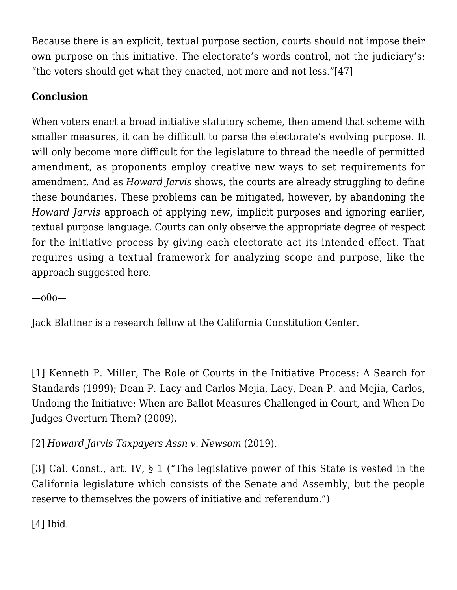Because there is an explicit, textual purpose section, courts should not impose their own purpose on this initiative. The electorate's words control, not the judiciary's: "the voters should get what they enacted, not more and not less.["\[47\]](#page--1-0)

## **Conclusion**

When voters enact a broad initiative statutory scheme, then amend that scheme with smaller measures, it can be difficult to parse the electorate's evolving purpose. It will only become more difficult for the legislature to thread the needle of permitted amendment, as proponents employ creative new ways to set requirements for amendment. And as *Howard Jarvis* shows, the courts are already struggling to define these boundaries. These problems can be mitigated, however, by abandoning the *Howard Jarvis* approach of applying new, implicit purposes and ignoring earlier, textual purpose language. Courts can only observe the appropriate degree of respect for the initiative process by giving each electorate act its intended effect. That requires using a textual framework for analyzing scope and purpose, like the approach suggested here.

—o0o—

Jack Blattner is a research fellow at the California Constitution Center.

[\[1\]](#page--1-0) Kenneth P. Miller, [The Role of Courts in the Initiative Process: A Search for](http://www.iandrinstitute.org/docs/Miller-Courts-and-IandR-IRI.pdf;) [Standards \(1999\)](http://www.iandrinstitute.org/docs/Miller-Courts-and-IandR-IRI.pdf;); Dean P. Lacy and Carlos Mejia, Lacy, Dean P. and Mejia, Carlos, [Undoing the Initiative: When are Ballot Measures Challenged in Court, and When Do](https://ssrn.com/abstract=1450853) [Judges Overturn Them? \(2009\)](https://ssrn.com/abstract=1450853).

[\[2\]](#page--1-0) *[Howard Jarvis Taxpayers Assn v. Newsom](https://scholar.google.com/scholar_case?case=1329099466791769403&q=39+Cal.App.5th+158&hl=en&as_sdt=2006)* [\(2019\)](https://scholar.google.com/scholar_case?case=1329099466791769403&q=39+Cal.App.5th+158&hl=en&as_sdt=2006).

[\[3\]](#page--1-0) Cal. Const., art. IV, § 1 ("The legislative power of this State is vested in the California legislature which consists of the Senate and Assembly, but the people reserve to themselves the powers of initiative and referendum.")

[\[4\]](#page--1-0) Ibid.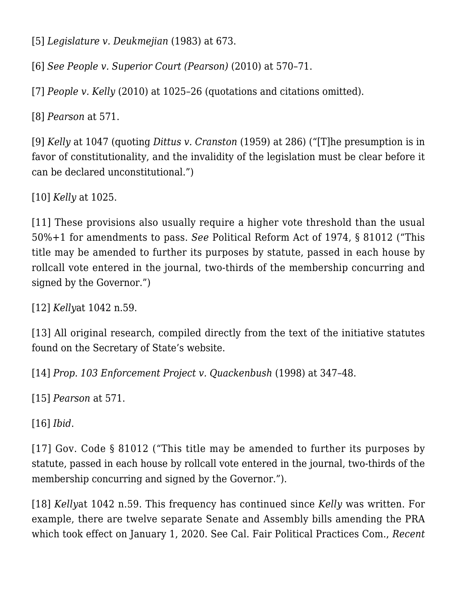[\[5\]](#page--1-0) *[Legislature v. Deukmejian](https://scholar.google.com/scholar_case?case=17909790576640404616&q=34+Cal.3d+658&hl=en&as_sdt=2006)* [\(1983\)](https://scholar.google.com/scholar_case?case=17909790576640404616&q=34+Cal.3d+658&hl=en&as_sdt=2006) at 673.

[\[6\]](#page--1-0) *See [People v. Superior Court \(Pearson\)](https://scholar.google.com/scholar_case?case=16082162522167638293&q=48+Cal.4th+564&hl=en&as_sdt=2006)* [\(2010\)](https://scholar.google.com/scholar_case?case=16082162522167638293&q=48+Cal.4th+564&hl=en&as_sdt=2006) at 570–71.

[\[7\]](#page--1-0) *[People v.](https://scholar.google.com/scholar_case?case=7501448136904241443&q=47+Cal.4th+1008&hl=en&as_sdt=2006) [Kelly](https://scholar.google.com/scholar_case?case=7501448136904241443&q=47+Cal.4th+1008&hl=en&as_sdt=2006)* [\(2010\)](https://scholar.google.com/scholar_case?case=7501448136904241443&q=47+Cal.4th+1008&hl=en&as_sdt=2006) at 1025–26 (quotations and citations omitted).

[\[8\]](#page--1-0) *[Pearson](https://scholar.google.com/scholar_case?case=16082162522167638293&q=48+Cal.4th+564&hl=en&as_sdt=2006)* at 571.

[\[9\]](#page--1-0) *[Kelly](https://scholar.google.com/scholar_case?case=7501448136904241443&q=47+Cal.4th+1008&hl=en&as_sdt=2006)* at 1047 (quoting *[Dittus v. Cranston](https://scholar.google.com/scholar_case?case=15020867106650676205&q=53+Cal.2d+284&hl=en&as_sdt=2006)* [\(1959\)](https://scholar.google.com/scholar_case?case=15020867106650676205&q=53+Cal.2d+284&hl=en&as_sdt=2006) at 286) ("[T]he presumption is in favor of constitutionality, and the invalidity of the legislation must be clear before it can be declared unconstitutional.")

[\[10\]](#page--1-0) *[Kelly](https://scholar.google.com/scholar_case?case=7501448136904241443&q=47+Cal.4th+1008&hl=en&as_sdt=2006)* at 1025.

[\[11\]](#page--1-0) These provisions also usually require a higher vote threshold than the usual 50%+1 for amendments to pass. *See* Political Reform Act of 1974, § 81012 ("This title may be amended to further its purposes by statute, passed in each house by rollcall vote entered in the journal, two-thirds of the membership concurring and signed by the Governor.")

[\[12\]](#page--1-0) *[Kelly](https://scholar.google.com/scholar_case?case=7501448136904241443&q=47+Cal.4th+1008&hl=en&as_sdt=2006)*at 1042 n.59.

[\[13\]](#page--1-0) All original research, compiled directly from the text of the initiative statutes found on the Secretary of State's website.

[\[14\]](#page--1-0) *[Prop. 103 Enforcement Project v. Quackenbush](https://scholar.google.com/scholar_case?case=11526579377521961598&q=64+Cal.App.4th+1473&hl=en&as_sdt=2006)* [\(1998\)](https://scholar.google.com/scholar_case?case=11526579377521961598&q=64+Cal.App.4th+1473&hl=en&as_sdt=2006) at 347–48.

[\[15\]](#page--1-0) *[Pearson](https://scholar.google.com/scholar_case?case=16082162522167638293&q=48+Cal.4th+564&hl=en&as_sdt=2006)* at 571.

[\[16\]](#page--1-0) *Ibid*.

[\[17\]](#page--1-0) Gov. Code § 81012 ("This title may be amended to further its purposes by statute, passed in each house by rollcall vote entered in the journal, two-thirds of the membership concurring and signed by the Governor.").

[\[18\]](#page--1-0) *[Kelly](https://scholar.google.com/scholar_case?case=7501448136904241443&q=47+Cal.4th+1008&hl=en&as_sdt=2006)*at 1042 n.59. This frequency has continued since *Kelly* was written. For example, there are twelve separate Senate and Assembly bills amending the PRA which took effect on January 1, 2020. See Cal. Fair Political Practices Com., *[Recent](https://www.fppc.ca.gov/the-law/recent-changes-to-the-political-reform-act.html)*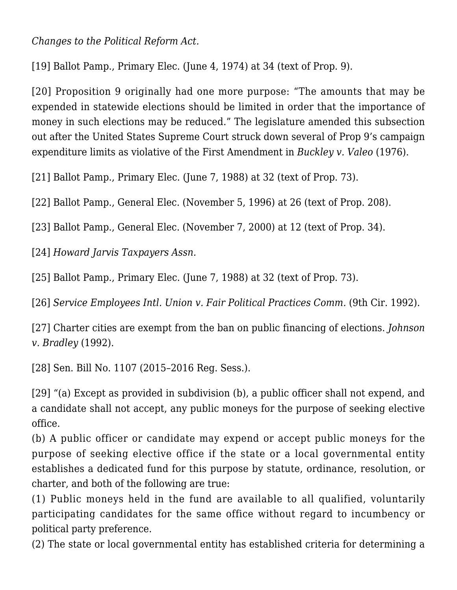*[Changes to the Political Reform Act](https://www.fppc.ca.gov/the-law/recent-changes-to-the-political-reform-act.html).*

[\[19\]](#page--1-0) [Ballot Pamp., Primary Elec. \(June 4, 1974\)](https://repository.uchastings.edu/cgi/viewcontent.cgi?article=1794&context=ca_ballot_props) at 34 (text of Prop. 9).

[\[20\]](#page--1-0) Proposition 9 originally had one more purpose: "The amounts that may be expended in statewide elections should be limited in order that the importance of money in such elections may be reduced." The legislature amended this subsection out after the United States Supreme Court struck down several of Prop 9's campaign expenditure limits as violative of the First Amendment in *[Buckley v. Valeo](https://scholar.google.com/scholar_case?case=11397892430187334248&q=424+U.S.+1&hl=en&as_sdt=2006)* [\(1976\)](https://scholar.google.com/scholar_case?case=11397892430187334248&q=424+U.S.+1&hl=en&as_sdt=2006).

[\[21\]](#page--1-0) [Ballot Pamp., Primary Elec. \(June 7, 1988\)](https://repository.uchastings.edu/cgi/viewcontent.cgi?article=1989&context=ca_ballot_props) at 32 (text of Prop. 73).

[\[22\]](#page--1-0) [Ballot Pamp., General Elec. \(November 5, 1996\)](https://repository.uchastings.edu/cgi/viewcontent.cgi?article=2127&context=ca_ballot_props) at 26 (text of Prop. 208).

[\[23\]](#page--1-0) [Ballot Pamp., General Elec. \(November 7, 2000\)](https://repository.uchastings.edu/cgi/viewcontent.cgi?article=2181&context=ca_ballot_props) at 12 (text of Prop. 34).

[\[24\]](#page--1-0) *[Howard Jarvis Taxpayers Assn.](https://scholar.google.com/scholar_case?case=1329099466791769403&q=39+Cal.App.5th+158&hl=en&as_sdt=2006)*

[\[25\]](#page--1-0) [Ballot Pamp., Primary Elec. \(June 7, 1988\)](https://repository.uchastings.edu/cgi/viewcontent.cgi?article=1989&context=ca_ballot_props) at 32 (text of Prop. 73).

[\[26\]](#page--1-0) *Service Employees Intl. Union v. Fair Political Practices Comm.* [\(9th Cir. 1992\)](https://scholar.google.com/scholar_case?case=2358624988258270457&q=955+F.2d+1312&hl=en&as_sdt=2006).

[\[27\]](#page--1-0) Charter cities are exempt from the ban on public financing of elections. *[Johnson](https://scholar.google.com/scholar_case?case=3213756486460635522&q=4+Cal.4th+389&hl=en&as_sdt=2006) [v. Bradley](https://scholar.google.com/scholar_case?case=3213756486460635522&q=4+Cal.4th+389&hl=en&as_sdt=2006)* [\(1992\).](https://scholar.google.com/scholar_case?case=3213756486460635522&q=4+Cal.4th+389&hl=en&as_sdt=2006)

[\[28\]](#page--1-0) [Sen. Bill No. 1107 \(2015–2016 Reg. Sess.\)](https://leginfo.legislature.ca.gov/faces/billNavClient.xhtml?bill_id=201520160SB1107.).

[\[29\]](#page--1-0) "(a) Except as provided in subdivision (b), a public officer shall not expend, and a candidate shall not accept, any public moneys for the purpose of seeking elective office.

(b) A public officer or candidate may expend or accept public moneys for the purpose of seeking elective office if the state or a local governmental entity establishes a dedicated fund for this purpose by statute, ordinance, resolution, or charter, and both of the following are true:

(1) Public moneys held in the fund are available to all qualified, voluntarily participating candidates for the same office without regard to incumbency or political party preference.

(2) The state or local governmental entity has established criteria for determining a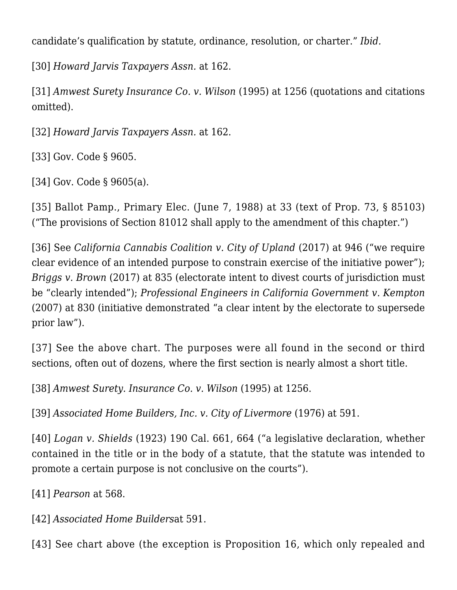candidate's qualification by statute, ordinance, resolution, or charter." *Ibid.*

[\[30\]](#page--1-0) *[Howard Jarvis Taxpayers Assn.](https://scholar.google.com/scholar_case?case=1329099466791769403&q=39+Cal.App.5th+158&hl=en&as_sdt=2006)* at 162.

[\[31\]](#page--1-0) *[Amwest](https://scholar.google.com/scholar_case?case=10474445869059740059&q=11+Cal.4th+1243&hl=en&as_sdt=2006) [Surety Insurance Co. v. Wilson](https://scholar.google.com/scholar_case?case=10474445869059740059&q=11+Cal.4th+1243&hl=en&as_sdt=2006)* [\(1995\)](https://scholar.google.com/scholar_case?case=10474445869059740059&q=11+Cal.4th+1243&hl=en&as_sdt=2006) at 1256 (quotations and citations omitted).

[\[32\]](#page--1-0) *[Howard Jarvis Taxpayers Assn.](https://scholar.google.com/scholar_case?case=1329099466791769403&q=39+Cal.App.5th+158&hl=en&as_sdt=2006)* at 162.

[\[33\]](#page--1-0) Gov. Code § 9605.

[\[34\]](#page--1-0) Gov. Code § 9605(a).

[\[35\]](#page--1-0) [Ballot Pamp., Primary Elec. \(June 7, 1988\)](https://repository.uchastings.edu/cgi/viewcontent.cgi?article=1989&context=ca_ballot_props) at 33 (text of Prop. 73, § 85103) ("The provisions of Section 81012 shall apply to the amendment of this chapter.")

[\[36\]](#page--1-0) See *[California Cannabis Coalition v. City of Upland](https://scholar.google.com/scholar_case?case=13968085985644809550&q=3+Cal.5th+924&hl=en&as_sdt=2006)* [\(2017\)](https://scholar.google.com/scholar_case?case=13968085985644809550&q=3+Cal.5th+924&hl=en&as_sdt=2006) at 946 ("we require clear evidence of an intended purpose to constrain exercise of the initiative power"); *[Briggs v. Brown](https://scholar.google.com/scholar_case?case=2819603701964488023&q=3+Cal.5th+808&hl=en&as_sdt=2006)* [\(2017\)](https://scholar.google.com/scholar_case?case=2819603701964488023&q=3+Cal.5th+808&hl=en&as_sdt=2006) at 835 (electorate intent to divest courts of jurisdiction must be "clearly intended"); *[Professional Engineers in California Government v. Kempton](https://scholar.google.com/scholar_case?case=11582858172152165605&q=40+Cal.4th+1016&hl=en&as_sdt=2006)* [\(2007\)](https://scholar.google.com/scholar_case?case=11582858172152165605&q=40+Cal.4th+1016&hl=en&as_sdt=2006) at 830 (initiative demonstrated "a clear intent by the electorate to supersede prior law").

[\[37\]](#page--1-0) See the above chart. The purposes were all found in the second or third sections, often out of dozens, where the first section is nearly almost a short title.

[\[38\]](#page--1-0) *[Amwest Surety. Insurance Co. v. Wilson](https://scholar.google.com/scholar_case?case=10474445869059740059&q=11+Cal.4th+1243&hl=en&as_sdt=2006)* [\(1995\)](https://scholar.google.com/scholar_case?case=10474445869059740059&q=11+Cal.4th+1243&hl=en&as_sdt=2006) at 1256.

[\[39\]](#page--1-0) *[Associated Home Builders, Inc. v. City of Livermore](https://scholar.google.com/scholar_case?case=15479987272763509129&q=18+Cal.3d+582&hl=en&as_sdt=2006)* [\(1976\)](https://scholar.google.com/scholar_case?case=15479987272763509129&q=18+Cal.3d+582&hl=en&as_sdt=2006) at 591.

[\[40\]](#page--1-0) *Logan v. Shields* (1923) 190 Cal. 661, 664 ("a legislative declaration, whether contained in the title or in the body of a statute, that the statute was intended to promote a certain purpose is not conclusive on the courts").

[\[41\]](#page--1-0) *Pearson* at 568.

[\[42\]](#page--1-0) *[Associated Home Builders](https://scholar.google.com/scholar_case?case=15479987272763509129&q=18+Cal.3d+582&hl=en&as_sdt=2006)*at 591.

[\[43\]](#page--1-0) See chart above (the exception is Proposition 16, which only repealed and